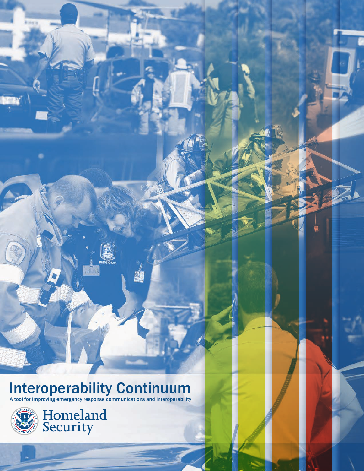# **Interoperability Continuum**

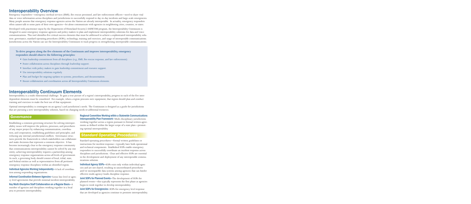# Interoperability Overview

Emergency responders—emergency medical services (EMS), fire-rescue personnel, and law enforcement officers—need to share vital data or voice information across disciplines and jurisdictions to successfully respond to day-to-day incidents and large-scale emergencies. Many people assume that emergency response agencies across the Nation are already interoperable. In actuality, emergency responders often cannot talk to some parts of their own agencies—let alone communicate with agencies in neighboring cities, counties, or states.

Developed with practitioner input by the Department of Homeland Security's SAFECOM program, the Interoperability Continuum is designed to assist emergency response agencies and policy makers to plan and implement interoperability solutions for data and voice communications. This tool identifies five critical success elements that must be addressed to achieve a sophisticated interoperability solution: governance, standard operating procedures (SOPs), technology, training and exercises, and usage of interoperable communications. Jurisdictions across the Nation can use the Interoperability Continuum to track progress in strengthening interoperable communications.

### **To drive progress along the five elements of the Continuum and improve interoperability, emergency responders should observe the following principles:**

- Gain leadership commitment from all disciplines (e.g., EMS, fire-rescue response, and law enforcement).
- Foster collaboration across disciplines through leadership support.
- Interface with policy makers to gain leadership commitment and resource support.
- Use interoperability solutions regularly.
- Plan and budget for ongoing updates to systems, procedures, and documentation.
- Ensure collaboration and coordination across all Interoperability Continuum elements.

# Interoperability Continuum Elements

Interoperability is a multi-dimensional challenge. To gain a true picture of a region's interoperability, progress in each of the five interdependent elements must be considered. For example, when a region procures new equipment, that region should plan and conduct training and exercises to make the best use of that equipment.

Optimal interoperability is contingent on an agency's and jurisdiction's needs. The Continuum is designed as a guide for jurisdictions that are pursuing a new interoperability solution, based on changing needs or additional resources.

### *Governance*

Establishing a common governing structure for solving interoperability issues will improve the policies, processes, and procedures of any major project by enhancing communication, coordination, and cooperation; establishing guidelines and principles; and reducing any internal jurisdictional conflicts. Governance structures provide the framework in which stakeholders can collaborate and make decisions that represent a common objective. It has become increasingly clear to the emergency response community that communications interoperability cannot be solved by any one entity; achieving interoperability requires a partnership among emergency response organizations across all levels of government. As such, a governing body should consist of local, tribal, state, and Federal entities as well as representatives from all pertinent emergency response disciplines within an identified region.

Individual Agencies Working Independently—A lack of coordination among responding organizations.

Informal Coordination Between Agencies—Loose line level or agency level agreements that provide minimal incident interoperability.

Key Multi-Discipline Staff Collaboration on a Regular Basis—A number of agencies and disciplines working together in a local area to promote interoperability.

Regional Committee Working within a Statewide Communications Interoperability Plan Framework—Multi-disciplinary jurisdictions working together across a region pursuant to formal written agreements as defined within the larger scope of a state plan—promoting optimal interoperability.

### *Standard Operating Procedures*

Standard operating procedures—formal written guidelines or instructions for incident response—typically have both operational and technical components. Established SOPs enable emergency responders to successfully coordinate an incident response across disciplines and jurisdictions. Clear and effective SOPs are essential in the development and deployment of any interoperable communications solution.

Individual Agency SOPs—SOPs exist only within individual agencies and are not shared, resulting in uncoordinated procedures and/or incompatible data systems among agencies that can hinder effective multi-agency/multi-discipline response.

Joint SOPs for Planned Events-The development of SOPs for planned events—this typically represents the first phase as agencies begin to work together to develop interoperability.

Joint SOPs for Emergencies-SOPs for emergency level response that are developed as agencies continue to promote interoperability.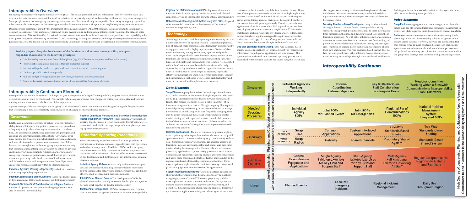within the Continuum must be scalable in order to effectively support day-to-day incidents as well as large-scale disasters. Many effective communications among emergency responders. Security and and authentication challenges are present in each technology Technology is a critical tool for improving interoperability, but it is not the sole driver of an optimal solution. Successful implementation of data and voice communications technology is supported by strong governance and is highly dependent on effective collaboration and training among participating agencies and jurisdictions. Technologies should meet the needs of practitioners on the frontlines and should address regional needs, existing infrastructure, cost vs. benefit, and sustainability. The technologies described times, a combination of technologies is necessary to provide must be considered in all implementation decisions.

Common Applications—The use of common proprietary applications requires agencies to purchase and use the same or compatible applications and a common vocabulary (e.g., time stamps) to share data. Common proprietary applications can increase access to information, improve user functionality, and permit real-time information sharing between agencies. However, the use of common proprietary applications requires strong governance to coordinate operations and maintenance among multiple independent agencies and users; these coordinated efforts are further compounded as the region expands and additional agencies use applications. Common proprietary applications also limit functionality choices as all participating agencies must use compatible applications.

Inter own applications. Two-way standards-based sharing does not<br>face the same problems as other solutions because it can support<br>many-to-many relationships through standards-based middleware. Two-Way Standards-Based Sharing—Two-way standards-based sharing is the ideal solution for data interoperability. Using standards, this approach permits applications to share information from disparate applications and data sources and to process the information seamlessly. As with other solutions, a two-way approach can increase access to information, improve user functionality, and permit real-time collaborative information sharing between agencies. This form of sharing allows participating agencies to choose their own applications. Two-way standards-based sharing does not face the same problems as other solutions because it can support Swap Radios—Swapping radios, or maintaining a cache of standby radios, is an age-old solution that is time-consuming, management-intensive, and likely to provide limited results due to channel availability. Gateway–Gateways retransmit across multiple frequency bands, providing an interim interoperability solution as agencies move toward shared systems. However, gateways are inefficient in that they require twice as much spectrum because each participating agency must use at least one channel in each band per common talk path and because they are tailored for communications within the geographic coverage area common to all participating systems.

## *Interoperability Continuum*

| Governance                                               |                                                                                                                       | <b>Individual Agencies</b><br><b>Working</b><br><b>Independently</b>                                               | <b>Informal</b><br>Coordination<br><b>Between Agencies</b>                                     |                                                                                               | <b>Key Multi-Dis</b><br><b>Staff Collabd</b><br>on a Regular |
|----------------------------------------------------------|-----------------------------------------------------------------------------------------------------------------------|--------------------------------------------------------------------------------------------------------------------|------------------------------------------------------------------------------------------------|-----------------------------------------------------------------------------------------------|--------------------------------------------------------------|
| <b>Standard</b><br><b>Operating</b><br><b>Procedures</b> |                                                                                                                       | <b>Individual</b><br><b>Agency</b><br><b>SOPs</b>                                                                  | <b>Joint SOPs</b><br>for Planned Events                                                        | <b>Joint SOPs</b><br>for Emergencies                                                          | Re<br>Cor                                                    |
| <b>Technology</b>                                        | with Minimal Investment in the Sustainability of Systems and Documentation<br>Planning, and Collaboration Among Areas | <b>Swap</b><br>DATA<br><b>Files</b><br><b>ELEMENTS</b><br>Swap<br><b>VOICE</b><br><b>ELEMENTS</b><br><b>Radios</b> | Common<br><b>Applications</b><br>Gateway                                                       | <b>Custom-Interfaced</b><br><b>Applications</b><br><b>Shared Channels</b>                     | <b>Star</b><br>Prop                                          |
| Training &<br><b>Exercises</b>                           | Limited Leadership,                                                                                                   | <b>General</b><br><b>Orientation on</b><br><b>Equipment and</b><br><b>Applications</b>                             | <b>Single Agency</b><br><b>Tabletop Exercises</b><br>for Key Field and<br><b>Support Staff</b> | <b>Multi-Agency</b><br><b>Tabletop Exercises</b><br>for Key Field and<br><b>Support Staff</b> | M<br>Fu<br>Exer                                              |
| Usage                                                    |                                                                                                                       | <b>Planned Events</b>                                                                                              | Localized<br>Emergency<br><b>Incidents</b>                                                     |                                                                                               | <b>Regional Ind</b><br><b>Managem</b>                        |



Custom-Interfaced Applications—Custom-interfaced applications allow multiple agencies to link disparate proprietary applications using single, custom "one-off" links or a proprietary middleware application. As with common applications, this system can increase access to information, improve user functionality, and permit real-time information sharing among agencies. Improving upon common applications, this system allows agencies to choose

Regional Set of Communications SOPs—Region-wide communications SOPs for multi-agency/multi-discipline/multi-hazard responses serve as an integral step towards optimal interoperability.

National Incident Management System Integrated SOPs—Regional SOPs are molded to conform to the elements of the National Incident Management System.

### **Technology**

### *Data Elements*

cust om-interfaced applications typically require more expensive their own application and control the functionality choices. However, if using one-to-one interfaces, the use of multiple applications requires custom-interfaces for each linked system. As the region grows and additional agencies participate, the required number of one-to-one links will grow significantly. Proprietary middleware applications allow for a more simplified regional expansion; however, all participants must invest in a single "one-off" link to the middleware, including any state or Federal partners. Additionally, maintenance and upgrade costs. Changes to the functionality of linked systems often require changes to the interfaces as well.

Swap Files—Swapping files involves the exchange of stand-alone data/application files or documents through physical or electronic media (e.g., universal serial bus devices, network drives, emails, faxes). This process effectively creates a static "snapshot" of information in a given time period. Though swapping files requires minimal planning and training, it can become difficult to manage beyond one-to-one sharing. With data frequently changing, there may be issues concerning the age and synchronization of information, timing of exchanges, and version control of documents. Each of these issues can hinder real-time collaborative efforts. In addition, the method of sharing files across unprotected networks raises security concerns.

One-Way Standards-Based Sharing—One-way standards-based sharing enables applications to "broadcast/push" or "receive/pull" information from disparate applications and data sources. This system enhances the real-time common operating picture and is established without direct access to the source data; this system can also support one-to-many relationships through standards-based middleware. However, because one-way standards-based sharing is not interactive, it does not support real-time collaboration between agencies. Building on the attributes of other solutions, this system is most effective in establishing interoperability. *Voice Elements*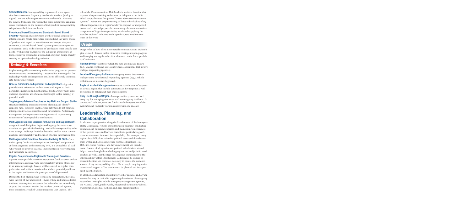**Shared Channels**—Interoperability is promoted when agencies share a common frequency band or air interface (analog or digital), and are able to agree on common channels. However, the general frequency congestion that exists nationwide can place severe restrictions on the number of independent interoperability talk paths available in some bands.

### Proprietary Shared Systems and Standards-Based Shared

Systems—Regional shared systems are the optimal solution for interoperability. While proprietary systems limit the user's choice of product with regard to manufacturer and competitive procurement, standards-based shared systems promote competitive procurement and a wide selection of products to meet specific user needs. With proper planning of the talk group architecture, interoperability is provided as a byproduct of system design thereby creating an optimal technology solution.

Implementing effective training and exercise programs to practice multiple responding agencies). communications interoperability is essential for ensuring that the technology works and responders are able to effectively communicate during emergencies.

General Orientation on Equipment and Applications—Agencies provide initial orientation to their users with regard to their particular equipment and applications. Multi-agency/multi-jurisdictional operations are often an afterthought to this training, if provided at all.

Single Agency Tabletop Exercises for Key Field and Support Staff— Structured tabletop exercises promote planning and identify response gaps. However, single agency activities do not promote interoperability across disciplines and jurisdictions. Additionally, management and supervisory training is critical to promoting routine use of interoperability mechanisms.

Multi-Agency Tabletop Exercises for Key Field and Support Staff—

As agencies and disciplines begin working together to develop exercises and provide field training, workable interoperability solutions emerge. Tabletops should address data and/or voice communications interoperability and focus on effective information flow.

Multi-Agency Full Functional Exercises Involving All Staff—Once multi-agency/multi-discipline plans are developed and practiced at the management and supervisory level, it is critical that all staff who would be involved in actual implementation receive training and participate in exercises.

### Regular Comprehensive Regionwide Training and Exercises—

Optimal interoperability involves equipment familiarization and an introduction to regional/state interoperability at time of hire (or in an academy setting). Success will be assured by regular, comprehensive, and realistic exercises that address potential problems in the region and involve the participation of all personnel.

Despite the best planning and technology preparations, there is always the risk of the unexpected—those critical and unprecedented incidents that require an expert at the helm who can immediately adapt to the situation. Within the Incident Command System, these specialists are called Communications Unit Leaders. The

role of the Communications Unit Leader is a critical function that requires adequate training and cannot be delegated to an individual simply because that person "knows about communications systems." Rather, the proper training of these individuals is of significant importance to a region's ability to respond to unexpected events, and it should prepare them to manage the communications component of larger interoperability incidents by applying the available technical solutions to the specific operational environment of the event.

### *Usage*

Usage refers to how often interoperable communications technologies are used. Success in this element is contingent upon progress and interplay among the other four elements on the Interoperability Continuum.

**Training & Exercises** Planned Events—Events for which the date and time are known (e.g., athletic events and large conferences/conventions that involve

> Localized Emergency Incidents—Emergency events that involve multiple intra-jurisdictional responding agencies (e.g., a vehicle collision on an interstate highway).

Regional Incident Management—Routine coordination of responses across a region that include automatic aid fire response as well as response to natural and man-made disasters.

Daily Use Throughout Region-Interoperability systems are used every day for managing routine as well as emergency incidents. In this optimal solution, users are familiar with the operation of the system(s) and routinely work in concert with one another.

# Leadership, Planning, and **Collaboration**

In addition to progression along the five elements of the Interoperability Continuum, regions should focus on planning, conducting education and outreach programs, and maintaining an awareness of the specific issues and barriers that affect a particular region's movement towards increased interoperability. For example, many regions face difficulties related to political issues and the relationships within and across emergency response disciplines (e.g., EMS, fire-rescue response, and law enforcement) and jurisdictions. Leaders of all agencies and political sub-divisions should help to work through these challenging internal and jurisdictional conflicts as well as set the stage for a region's commitment to the interoperability effort. Additionally, leaders must be willing to commit the time and resources necessary to ensure the sustained success of any interoperability effort. For example, ongoing maintenance and support of the system must be planned and incorporated into the budget.

In addition, collaboration should involve other agencies and organizations that may be critical in supporting the mission of emergency responders. Examples include emergency management agencies, the National Guard, public works, educational institutions/schools, transportation, medical facilities, and large private facilities.